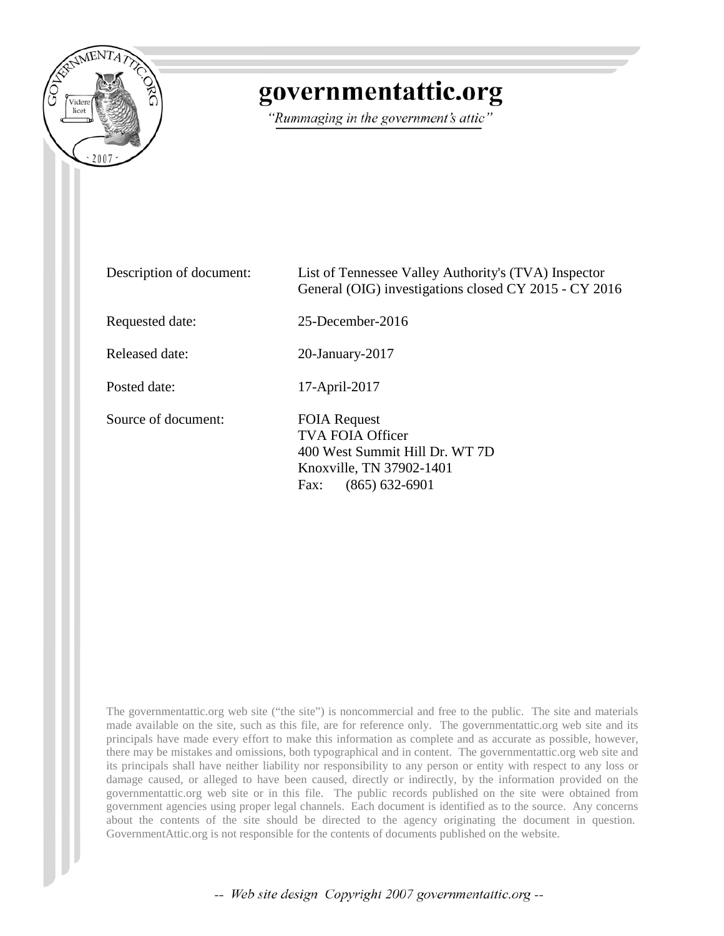

## governmentattic.org

"Rummaging in the government's attic"

| Description of document: | List of Tennessee Valley Authority's (TVA) Inspector<br>General (OIG) investigations closed CY 2015 - CY 2016                              |
|--------------------------|--------------------------------------------------------------------------------------------------------------------------------------------|
| Requested date:          | $25$ -December-2016                                                                                                                        |
| Released date:           | $20$ -January- $2017$                                                                                                                      |
| Posted date:             | 17-April-2017                                                                                                                              |
| Source of document:      | <b>FOIA Request</b><br><b>TVA FOIA Officer</b><br>400 West Summit Hill Dr. WT 7D<br>Knoxville, TN 37902-1401<br>$(865) 632 - 6901$<br>Fax: |

The governmentattic.org web site ("the site") is noncommercial and free to the public. The site and materials made available on the site, such as this file, are for reference only. The governmentattic.org web site and its principals have made every effort to make this information as complete and as accurate as possible, however, there may be mistakes and omissions, both typographical and in content. The governmentattic.org web site and its principals shall have neither liability nor responsibility to any person or entity with respect to any loss or damage caused, or alleged to have been caused, directly or indirectly, by the information provided on the governmentattic.org web site or in this file. The public records published on the site were obtained from government agencies using proper legal channels. Each document is identified as to the source. Any concerns about the contents of the site should be directed to the agency originating the document in question. GovernmentAttic.org is not responsible for the contents of documents published on the website.

-- Web site design Copyright 2007 governmentattic.org --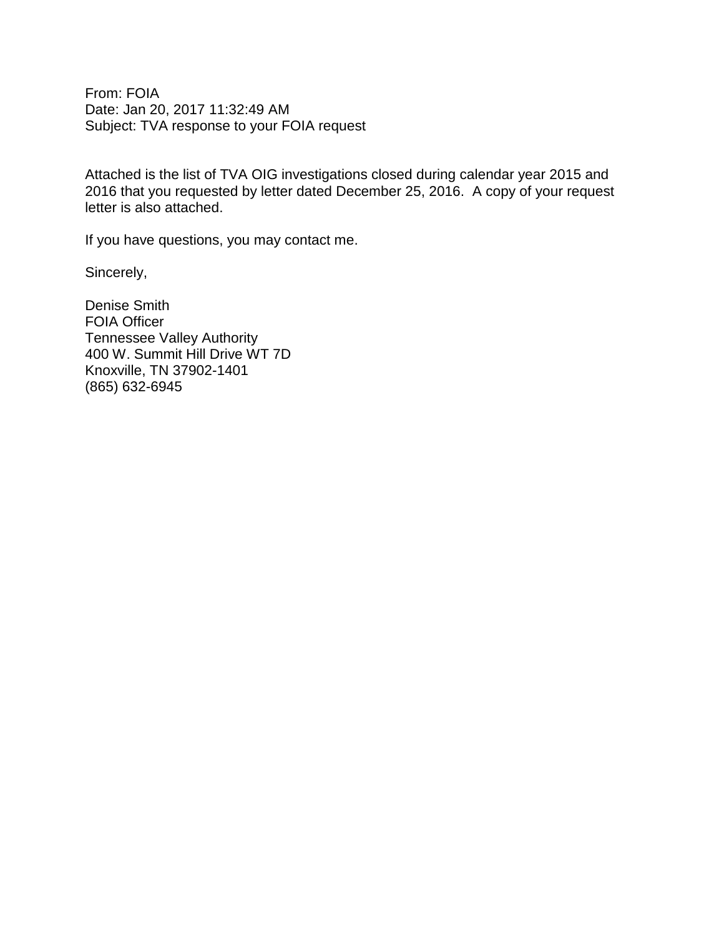From: FOIA Date: Jan 20, 2017 11:32:49 AM Subject: TVA response to your FOIA request

Attached is the list of TVA OIG investigations closed during calendar year 2015 and 2016 that you requested by letter dated December 25, 2016. A copy of your request letter is also attached.

If you have questions, you may contact me.

Sincerely,

Denise Smith FOIA Officer Tennessee Valley Authority 400 W. Summit Hill Drive WT 7D Knoxville, TN 37902-1401 (865) 632-6945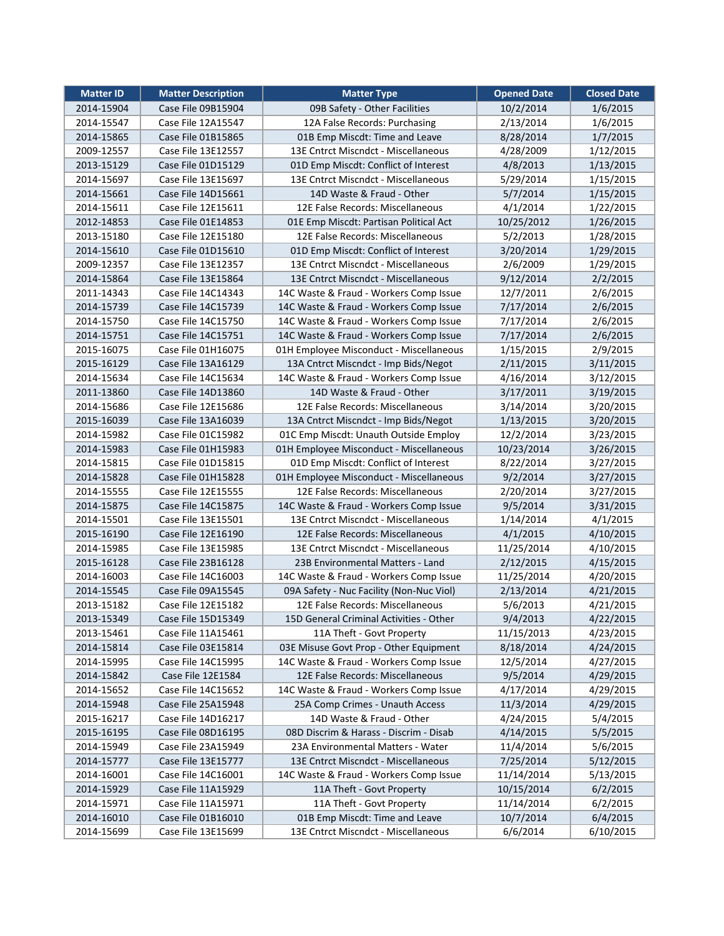| <b>Matter ID</b> | <b>Matter Description</b> | <b>Matter Type</b>                       | <b>Opened Date</b> | <b>Closed Date</b> |
|------------------|---------------------------|------------------------------------------|--------------------|--------------------|
| 2014-15904       | Case File 09B15904        | 09B Safety - Other Facilities            | 10/2/2014          | 1/6/2015           |
| 2014-15547       | Case File 12A15547        | 12A False Records: Purchasing            | 2/13/2014          | 1/6/2015           |
| 2014-15865       | Case File 01B15865        | 01B Emp Miscdt: Time and Leave           | 8/28/2014          | 1/7/2015           |
| 2009-12557       | Case File 13E12557        | 13E Cntrct Miscndct - Miscellaneous      | 4/28/2009          | 1/12/2015          |
| 2013-15129       | Case File 01D15129        | 01D Emp Miscdt: Conflict of Interest     | 4/8/2013           | 1/13/2015          |
| 2014-15697       | Case File 13E15697        | 13E Cntrct Miscndct - Miscellaneous      | 5/29/2014          | 1/15/2015          |
| 2014-15661       | Case File 14D15661        | 14D Waste & Fraud - Other                | 5/7/2014           | 1/15/2015          |
| 2014-15611       | Case File 12E15611        | 12E False Records: Miscellaneous         | 4/1/2014           | 1/22/2015          |
| 2012-14853       | Case File 01E14853        | 01E Emp Miscdt: Partisan Political Act   | 10/25/2012         | 1/26/2015          |
| 2013-15180       | Case File 12E15180        | 12E False Records: Miscellaneous         | 5/2/2013           | 1/28/2015          |
| 2014-15610       | Case File 01D15610        | 01D Emp Miscdt: Conflict of Interest     | 3/20/2014          | 1/29/2015          |
| 2009-12357       | Case File 13E12357        | 13E Cntrct Miscndct - Miscellaneous      | 2/6/2009           | 1/29/2015          |
| 2014-15864       | Case File 13E15864        | 13E Cntrct Miscndct - Miscellaneous      | 9/12/2014          | 2/2/2015           |
| 2011-14343       | Case File 14C14343        | 14C Waste & Fraud - Workers Comp Issue   | 12/7/2011          | 2/6/2015           |
| 2014-15739       | Case File 14C15739        | 14C Waste & Fraud - Workers Comp Issue   | 7/17/2014          | 2/6/2015           |
| 2014-15750       | Case File 14C15750        | 14C Waste & Fraud - Workers Comp Issue   | 7/17/2014          | 2/6/2015           |
| 2014-15751       | Case File 14C15751        | 14C Waste & Fraud - Workers Comp Issue   | 7/17/2014          | 2/6/2015           |
| 2015-16075       | Case File 01H16075        | 01H Employee Misconduct - Miscellaneous  | 1/15/2015          | 2/9/2015           |
| 2015-16129       | Case File 13A16129        | 13A Cntrct Miscndct - Imp Bids/Negot     | 2/11/2015          | 3/11/2015          |
| 2014-15634       | Case File 14C15634        | 14C Waste & Fraud - Workers Comp Issue   | 4/16/2014          | 3/12/2015          |
| 2011-13860       | Case File 14D13860        | 14D Waste & Fraud - Other                | 3/17/2011          | 3/19/2015          |
| 2014-15686       | Case File 12E15686        | 12E False Records: Miscellaneous         | 3/14/2014          | 3/20/2015          |
| 2015-16039       | Case File 13A16039        | 13A Cntrct Miscndct - Imp Bids/Negot     | 1/13/2015          | 3/20/2015          |
| 2014-15982       | Case File 01C15982        | 01C Emp Miscdt: Unauth Outside Employ    | 12/2/2014          | 3/23/2015          |
| 2014-15983       | Case File 01H15983        | 01H Employee Misconduct - Miscellaneous  | 10/23/2014         | 3/26/2015          |
| 2014-15815       | Case File 01D15815        | 01D Emp Miscdt: Conflict of Interest     | 8/22/2014          | 3/27/2015          |
| 2014-15828       | Case File 01H15828        | 01H Employee Misconduct - Miscellaneous  | 9/2/2014           | 3/27/2015          |
| 2014-15555       | Case File 12E15555        | 12E False Records: Miscellaneous         | 2/20/2014          | 3/27/2015          |
| 2014-15875       | Case File 14C15875        | 14C Waste & Fraud - Workers Comp Issue   | 9/5/2014           | 3/31/2015          |
| 2014-15501       | Case File 13E15501        | 13E Cntrct Miscndct - Miscellaneous      | 1/14/2014          | 4/1/2015           |
| 2015-16190       | Case File 12E16190        | 12E False Records: Miscellaneous         | 4/1/2015           | 4/10/2015          |
| 2014-15985       | Case File 13E15985        | 13E Cntrct Miscndct - Miscellaneous      | 11/25/2014         | 4/10/2015          |
| 2015-16128       | Case File 23B16128        | 23B Environmental Matters - Land         | 2/12/2015          | 4/15/2015          |
| 2014-16003       | Case File 14C16003        | 14C Waste & Fraud - Workers Comp Issue   | 11/25/2014         | 4/20/2015          |
| 2014-15545       | Case File 09A15545        | 09A Safety - Nuc Facility (Non-Nuc Viol) | 2/13/2014          | 4/21/2015          |
| 2013-15182       | Case File 12E15182        | 12E False Records: Miscellaneous         | 5/6/2013           | 4/21/2015          |
| 2013-15349       | Case File 15D15349        | 15D General Criminal Activities - Other  | 9/4/2013           | 4/22/2015          |
| 2013-15461       | Case File 11A15461        | 11A Theft - Govt Property                | 11/15/2013         | 4/23/2015          |
| 2014-15814       | Case File 03E15814        | 03E Misuse Govt Prop - Other Equipment   | 8/18/2014          | 4/24/2015          |
| 2014-15995       | Case File 14C15995        | 14C Waste & Fraud - Workers Comp Issue   | 12/5/2014          | 4/27/2015          |
| 2014-15842       | Case File 12E1584         | 12E False Records: Miscellaneous         | 9/5/2014           | 4/29/2015          |
| 2014-15652       | Case File 14C15652        | 14C Waste & Fraud - Workers Comp Issue   | 4/17/2014          | 4/29/2015          |
| 2014-15948       | Case File 25A15948        | 25A Comp Crimes - Unauth Access          | 11/3/2014          | 4/29/2015          |
| 2015-16217       | Case File 14D16217        | 14D Waste & Fraud - Other                | 4/24/2015          | 5/4/2015           |
| 2015-16195       | Case File 08D16195        | 08D Discrim & Harass - Discrim - Disab   | 4/14/2015          | 5/5/2015           |
| 2014-15949       | Case File 23A15949        | 23A Environmental Matters - Water        | 11/4/2014          | 5/6/2015           |
| 2014-15777       | Case File 13E15777        | 13E Cntrct Miscndct - Miscellaneous      | 7/25/2014          | 5/12/2015          |
| 2014-16001       | Case File 14C16001        | 14C Waste & Fraud - Workers Comp Issue   | 11/14/2014         | 5/13/2015          |
| 2014-15929       | Case File 11A15929        | 11A Theft - Govt Property                | 10/15/2014         | 6/2/2015           |
| 2014-15971       | Case File 11A15971        | 11A Theft - Govt Property                | 11/14/2014         | 6/2/2015           |
| 2014-16010       | Case File 01B16010        | 01B Emp Miscdt: Time and Leave           | 10/7/2014          | 6/4/2015           |
| 2014-15699       | Case File 13E15699        | 13E Cntrct Miscndct - Miscellaneous      | 6/6/2014           | 6/10/2015          |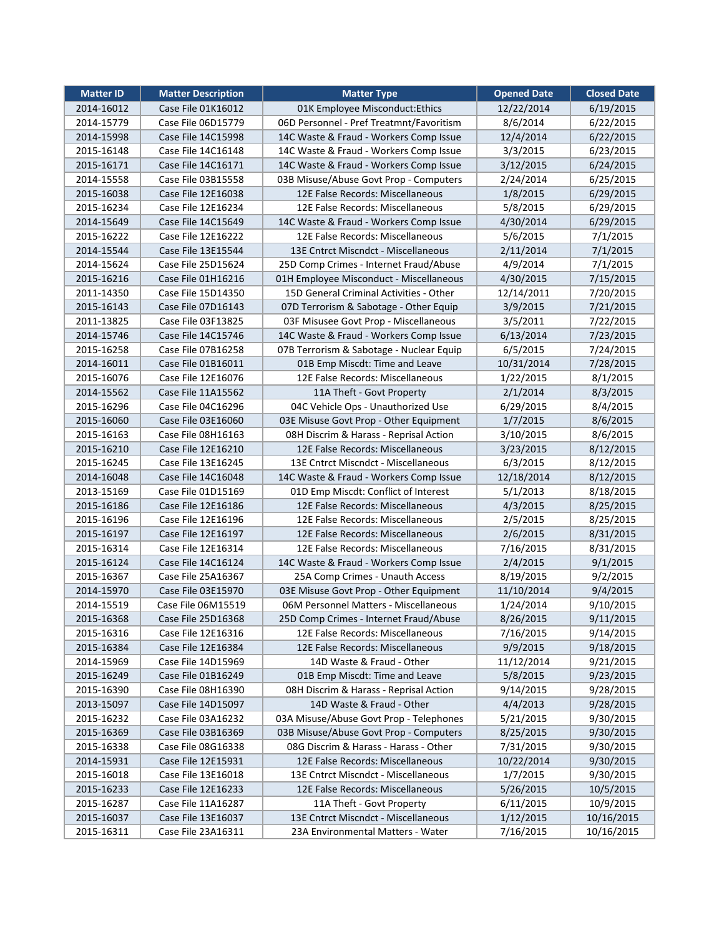| <b>Matter ID</b> | <b>Matter Description</b> | <b>Matter Type</b>                       | <b>Opened Date</b> | <b>Closed Date</b> |
|------------------|---------------------------|------------------------------------------|--------------------|--------------------|
| 2014-16012       | Case File 01K16012        | 01K Employee Misconduct: Ethics          | 12/22/2014         | 6/19/2015          |
| 2014-15779       | Case File 06D15779        | 06D Personnel - Pref Treatmnt/Favoritism | 8/6/2014           | 6/22/2015          |
| 2014-15998       | Case File 14C15998        | 14C Waste & Fraud - Workers Comp Issue   | 12/4/2014          | 6/22/2015          |
| 2015-16148       | Case File 14C16148        | 14C Waste & Fraud - Workers Comp Issue   | 3/3/2015           | 6/23/2015          |
| 2015-16171       | Case File 14C16171        | 14C Waste & Fraud - Workers Comp Issue   | 3/12/2015          | 6/24/2015          |
| 2014-15558       | Case File 03B15558        | 03B Misuse/Abuse Govt Prop - Computers   | 2/24/2014          | 6/25/2015          |
| 2015-16038       | Case File 12E16038        | 12E False Records: Miscellaneous         | 1/8/2015           | 6/29/2015          |
| 2015-16234       | Case File 12E16234        | 12E False Records: Miscellaneous         | 5/8/2015           | 6/29/2015          |
| 2014-15649       | Case File 14C15649        | 14C Waste & Fraud - Workers Comp Issue   | 4/30/2014          | 6/29/2015          |
| 2015-16222       | Case File 12E16222        | 12E False Records: Miscellaneous         | 5/6/2015           | 7/1/2015           |
| 2014-15544       | Case File 13E15544        | 13E Cntrct Miscndct - Miscellaneous      | 2/11/2014          | 7/1/2015           |
| 2014-15624       | Case File 25D15624        | 25D Comp Crimes - Internet Fraud/Abuse   | 4/9/2014           | 7/1/2015           |
| 2015-16216       | Case File 01H16216        | 01H Employee Misconduct - Miscellaneous  | 4/30/2015          | 7/15/2015          |
| 2011-14350       | Case File 15D14350        | 15D General Criminal Activities - Other  | 12/14/2011         | 7/20/2015          |
| 2015-16143       | Case File 07D16143        | 07D Terrorism & Sabotage - Other Equip   | 3/9/2015           | 7/21/2015          |
| 2011-13825       | Case File 03F13825        | 03F Misusee Govt Prop - Miscellaneous    | 3/5/2011           | 7/22/2015          |
| 2014-15746       | Case File 14C15746        | 14C Waste & Fraud - Workers Comp Issue   | 6/13/2014          | 7/23/2015          |
| 2015-16258       | Case File 07B16258        | 07B Terrorism & Sabotage - Nuclear Equip | 6/5/2015           | 7/24/2015          |
| 2014-16011       | Case File 01B16011        | 01B Emp Miscdt: Time and Leave           | 10/31/2014         | 7/28/2015          |
| 2015-16076       | Case File 12E16076        | 12E False Records: Miscellaneous         | 1/22/2015          | 8/1/2015           |
| 2014-15562       | Case File 11A15562        | 11A Theft - Govt Property                | 2/1/2014           | 8/3/2015           |
| 2015-16296       | Case File 04C16296        | 04C Vehicle Ops - Unauthorized Use       | 6/29/2015          | 8/4/2015           |
| 2015-16060       | Case File 03E16060        | 03E Misuse Govt Prop - Other Equipment   | 1/7/2015           | 8/6/2015           |
| 2015-16163       | Case File 08H16163        | 08H Discrim & Harass - Reprisal Action   | 3/10/2015          | 8/6/2015           |
| 2015-16210       | Case File 12E16210        | 12E False Records: Miscellaneous         | 3/23/2015          | 8/12/2015          |
| 2015-16245       | Case File 13E16245        | 13E Cntrct Miscndct - Miscellaneous      | 6/3/2015           | 8/12/2015          |
| 2014-16048       | Case File 14C16048        | 14C Waste & Fraud - Workers Comp Issue   | 12/18/2014         | 8/12/2015          |
| 2013-15169       | Case File 01D15169        | 01D Emp Miscdt: Conflict of Interest     | 5/1/2013           | 8/18/2015          |
| 2015-16186       | Case File 12E16186        | 12E False Records: Miscellaneous         | 4/3/2015           | 8/25/2015          |
| 2015-16196       | Case File 12E16196        | 12E False Records: Miscellaneous         | 2/5/2015           | 8/25/2015          |
| 2015-16197       | Case File 12E16197        | 12E False Records: Miscellaneous         | 2/6/2015           | 8/31/2015          |
| 2015-16314       | Case File 12E16314        | 12E False Records: Miscellaneous         | 7/16/2015          | 8/31/2015          |
| 2015-16124       | Case File 14C16124        | 14C Waste & Fraud - Workers Comp Issue   | 2/4/2015           | 9/1/2015           |
| 2015-16367       | Case File 25A16367        | 25A Comp Crimes - Unauth Access          | 8/19/2015          | 9/2/2015           |
| 2014-15970       | Case File 03E15970        | 03E Misuse Govt Prop - Other Equipment   | 11/10/2014         | 9/4/2015           |
| 2014-15519       | Case File 06M15519        | 06M Personnel Matters - Miscellaneous    | 1/24/2014          | 9/10/2015          |
| 2015-16368       | Case File 25D16368        | 25D Comp Crimes - Internet Fraud/Abuse   | 8/26/2015          | 9/11/2015          |
| 2015-16316       | Case File 12E16316        | 12E False Records: Miscellaneous         | 7/16/2015          | 9/14/2015          |
| 2015-16384       | Case File 12E16384        | 12E False Records: Miscellaneous         | 9/9/2015           | 9/18/2015          |
| 2014-15969       | Case File 14D15969        | 14D Waste & Fraud - Other                | 11/12/2014         | 9/21/2015          |
| 2015-16249       | Case File 01B16249        | 01B Emp Miscdt: Time and Leave           | 5/8/2015           | 9/23/2015          |
| 2015-16390       | Case File 08H16390        | 08H Discrim & Harass - Reprisal Action   | 9/14/2015          | 9/28/2015          |
| 2013-15097       | Case File 14D15097        | 14D Waste & Fraud - Other                | 4/4/2013           | 9/28/2015          |
| 2015-16232       | Case File 03A16232        | 03A Misuse/Abuse Govt Prop - Telephones  | 5/21/2015          | 9/30/2015          |
| 2015-16369       | Case File 03B16369        | 03B Misuse/Abuse Govt Prop - Computers   | 8/25/2015          | 9/30/2015          |
| 2015-16338       | Case File 08G16338        | 08G Discrim & Harass - Harass - Other    | 7/31/2015          | 9/30/2015          |
| 2014-15931       | Case File 12E15931        | 12E False Records: Miscellaneous         | 10/22/2014         | 9/30/2015          |
| 2015-16018       | Case File 13E16018        | 13E Cntrct Miscndct - Miscellaneous      | 1/7/2015           | 9/30/2015          |
| 2015-16233       | Case File 12E16233        | 12E False Records: Miscellaneous         | 5/26/2015          | 10/5/2015          |
| 2015-16287       | Case File 11A16287        | 11A Theft - Govt Property                | 6/11/2015          | 10/9/2015          |
| 2015-16037       | Case File 13E16037        | 13E Cntrct Miscndct - Miscellaneous      | 1/12/2015          | 10/16/2015         |
| 2015-16311       | Case File 23A16311        | 23A Environmental Matters - Water        | 7/16/2015          | 10/16/2015         |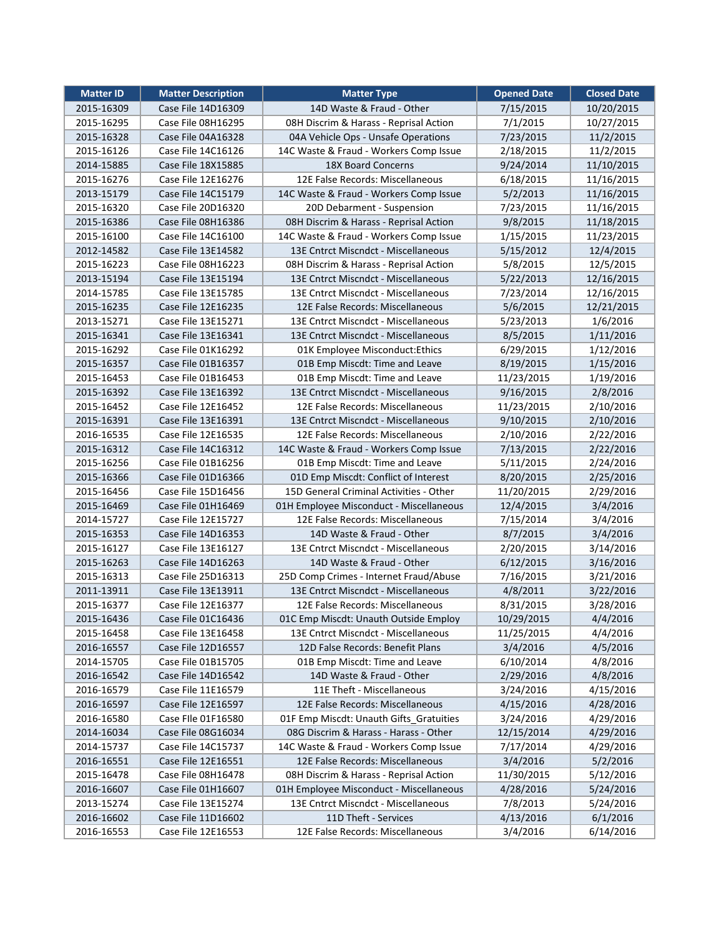| <b>Matter ID</b> | <b>Matter Description</b> | <b>Matter Type</b>                      | <b>Opened Date</b> | <b>Closed Date</b> |
|------------------|---------------------------|-----------------------------------------|--------------------|--------------------|
| 2015-16309       | Case File 14D16309        | 14D Waste & Fraud - Other               | 7/15/2015          | 10/20/2015         |
| 2015-16295       | Case File 08H16295        | 08H Discrim & Harass - Reprisal Action  | 7/1/2015           | 10/27/2015         |
| 2015-16328       | Case File 04A16328        | 04A Vehicle Ops - Unsafe Operations     | 7/23/2015          | 11/2/2015          |
| 2015-16126       | Case File 14C16126        | 14C Waste & Fraud - Workers Comp Issue  | 2/18/2015          | 11/2/2015          |
| 2014-15885       | Case File 18X15885        | <b>18X Board Concerns</b>               | 9/24/2014          | 11/10/2015         |
| 2015-16276       | Case File 12E16276        | 12E False Records: Miscellaneous        | 6/18/2015          | 11/16/2015         |
| 2013-15179       | Case File 14C15179        | 14C Waste & Fraud - Workers Comp Issue  | 5/2/2013           | 11/16/2015         |
| 2015-16320       | Case File 20D16320        | 20D Debarment - Suspension              | 7/23/2015          | 11/16/2015         |
| 2015-16386       | Case File 08H16386        | 08H Discrim & Harass - Reprisal Action  | 9/8/2015           | 11/18/2015         |
| 2015-16100       | Case File 14C16100        | 14C Waste & Fraud - Workers Comp Issue  | 1/15/2015          | 11/23/2015         |
| 2012-14582       | Case File 13E14582        | 13E Cntrct Miscndct - Miscellaneous     | 5/15/2012          | 12/4/2015          |
| 2015-16223       | Case File 08H16223        | 08H Discrim & Harass - Reprisal Action  | 5/8/2015           | 12/5/2015          |
| 2013-15194       | Case File 13E15194        | 13E Cntrct Miscndct - Miscellaneous     | 5/22/2013          | 12/16/2015         |
| 2014-15785       | Case File 13E15785        | 13E Cntrct Miscndct - Miscellaneous     | 7/23/2014          | 12/16/2015         |
| 2015-16235       | Case File 12E16235        | 12E False Records: Miscellaneous        | 5/6/2015           | 12/21/2015         |
| 2013-15271       | Case File 13E15271        | 13E Cntrct Miscndct - Miscellaneous     | 5/23/2013          | 1/6/2016           |
| 2015-16341       | Case File 13E16341        | 13E Cntrct Miscndct - Miscellaneous     | 8/5/2015           | 1/11/2016          |
| 2015-16292       | Case File 01K16292        | 01K Employee Misconduct: Ethics         | 6/29/2015          | 1/12/2016          |
| 2015-16357       | Case File 01B16357        | 01B Emp Miscdt: Time and Leave          | 8/19/2015          | 1/15/2016          |
| 2015-16453       | Case File 01B16453        | 01B Emp Miscdt: Time and Leave          | 11/23/2015         | 1/19/2016          |
| 2015-16392       | Case File 13E16392        | 13E Cntrct Miscndct - Miscellaneous     | 9/16/2015          | 2/8/2016           |
| 2015-16452       | Case File 12E16452        | 12E False Records: Miscellaneous        | 11/23/2015         | 2/10/2016          |
| 2015-16391       | Case File 13E16391        | 13E Cntrct Miscndct - Miscellaneous     | 9/10/2015          | 2/10/2016          |
| 2016-16535       | Case File 12E16535        | 12E False Records: Miscellaneous        | 2/10/2016          | 2/22/2016          |
| 2015-16312       | Case File 14C16312        | 14C Waste & Fraud - Workers Comp Issue  | 7/13/2015          | 2/22/2016          |
| 2015-16256       | Case File 01B16256        | 01B Emp Miscdt: Time and Leave          | 5/11/2015          | 2/24/2016          |
| 2015-16366       | Case File 01D16366        | 01D Emp Miscdt: Conflict of Interest    | 8/20/2015          | 2/25/2016          |
| 2015-16456       | Case File 15D16456        | 15D General Criminal Activities - Other | 11/20/2015         | 2/29/2016          |
| 2015-16469       | Case File 01H16469        | 01H Employee Misconduct - Miscellaneous | 12/4/2015          | 3/4/2016           |
| 2014-15727       | Case File 12E15727        | 12E False Records: Miscellaneous        | 7/15/2014          | 3/4/2016           |
| 2015-16353       | Case File 14D16353        | 14D Waste & Fraud - Other               | 8/7/2015           | 3/4/2016           |
| 2015-16127       | Case File 13E16127        | 13E Cntrct Miscndct - Miscellaneous     | 2/20/2015          | 3/14/2016          |
| 2015-16263       | Case File 14D16263        | 14D Waste & Fraud - Other               | 6/12/2015          | 3/16/2016          |
| 2015-16313       | Case File 25D16313        | 25D Comp Crimes - Internet Fraud/Abuse  | 7/16/2015          | 3/21/2016          |
| 2011-13911       | Case File 13E13911        | 13E Cntrct Miscndct - Miscellaneous     | 4/8/2011           | 3/22/2016          |
| 2015-16377       | Case File 12E16377        | 12E False Records: Miscellaneous        | 8/31/2015          | 3/28/2016          |
| 2015-16436       | Case File 01C16436        | 01C Emp Miscdt: Unauth Outside Employ   | 10/29/2015         | 4/4/2016           |
| 2015-16458       | Case File 13E16458        | 13E Cntrct Miscndct - Miscellaneous     | 11/25/2015         | 4/4/2016           |
| 2016-16557       | Case File 12D16557        | 12D False Records: Benefit Plans        | 3/4/2016           | 4/5/2016           |
| 2014-15705       | Case File 01B15705        | 01B Emp Miscdt: Time and Leave          | 6/10/2014          | 4/8/2016           |
| 2016-16542       | Case File 14D16542        | 14D Waste & Fraud - Other               | 2/29/2016          | 4/8/2016           |
| 2016-16579       | Case File 11E16579        | 11E Theft - Miscellaneous               | 3/24/2016          | 4/15/2016          |
| 2016-16597       | Case File 12E16597        | 12E False Records: Miscellaneous        | 4/15/2016          | 4/28/2016          |
| 2016-16580       | Case Flle 01F16580        | 01F Emp Miscdt: Unauth Gifts Gratuities | 3/24/2016          | 4/29/2016          |
| 2014-16034       | Case File 08G16034        | 08G Discrim & Harass - Harass - Other   | 12/15/2014         | 4/29/2016          |
| 2014-15737       | Case File 14C15737        | 14C Waste & Fraud - Workers Comp Issue  | 7/17/2014          | 4/29/2016          |
| 2016-16551       | Case File 12E16551        | 12E False Records: Miscellaneous        | 3/4/2016           | 5/2/2016           |
| 2015-16478       | Case File 08H16478        | 08H Discrim & Harass - Reprisal Action  | 11/30/2015         | 5/12/2016          |
| 2016-16607       | Case File 01H16607        | 01H Employee Misconduct - Miscellaneous | 4/28/2016          | 5/24/2016          |
| 2013-15274       | Case File 13E15274        | 13E Cntrct Miscndct - Miscellaneous     | 7/8/2013           | 5/24/2016          |
| 2016-16602       | Case File 11D16602        | 11D Theft - Services                    | 4/13/2016          | 6/1/2016           |
| 2016-16553       | Case File 12E16553        | 12E False Records: Miscellaneous        | 3/4/2016           | 6/14/2016          |